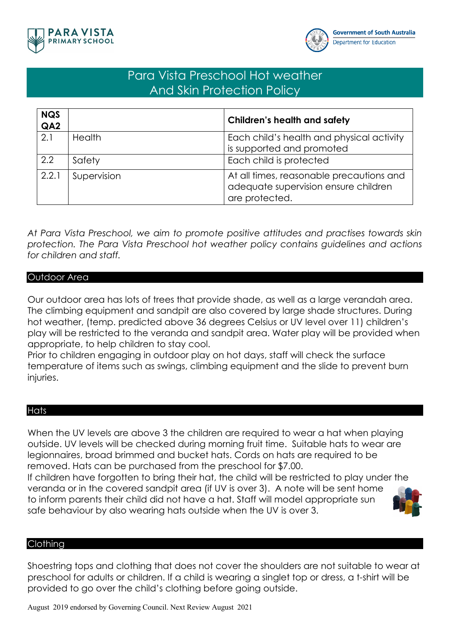



# Para Vista Preschool Hot weather And Skin Protection Policy

| <b>NQS</b><br>QA <sub>2</sub> |               | <b>Children's health and safety</b>                                                                |
|-------------------------------|---------------|----------------------------------------------------------------------------------------------------|
| 2.1                           | <b>Health</b> | Each child's health and physical activity<br>is supported and promoted                             |
| 2.2                           | Safety        | Each child is protected                                                                            |
| 2.2.1                         | Supervision   | At all times, reasonable precautions and<br>adequate supervision ensure children<br>are protected. |

*At Para Vista Preschool, we aim to promote positive attitudes and practises towards skin protection. The Para Vista Preschool hot weather policy contains guidelines and actions for children and staff.* 

## Outdoor Area

Our outdoor area has lots of trees that provide shade, as well as a large verandah area. The climbing equipment and sandpit are also covered by large shade structures. During hot weather, (temp. predicted above 36 degrees Celsius or UV level over 11) children's play will be restricted to the veranda and sandpit area. Water play will be provided when appropriate, to help children to stay cool.

Prior to children engaging in outdoor play on hot days, staff will check the surface temperature of items such as swings, climbing equipment and the slide to prevent burn injuries.

### **Hats**

When the UV levels are above 3 the children are required to wear a hat when playing outside. UV levels will be checked during morning fruit time. Suitable hats to wear are legionnaires, broad brimmed and bucket hats. Cords on hats are required to be removed. Hats can be purchased from the preschool for \$7.00.

If children have forgotten to bring their hat, the child will be restricted to play under the veranda or in the covered sandpit area (if UV is over 3). A note will be sent home to inform parents their child did not have a hat. Staff will model appropriate sun safe behaviour by also wearing hats outside when the UV is over 3.



## Clothing

Shoestring tops and clothing that does not cover the shoulders are not suitable to wear at preschool for adults or children. If a child is wearing a singlet top or dress, a t-shirt will be provided to go over the child's clothing before going outside.